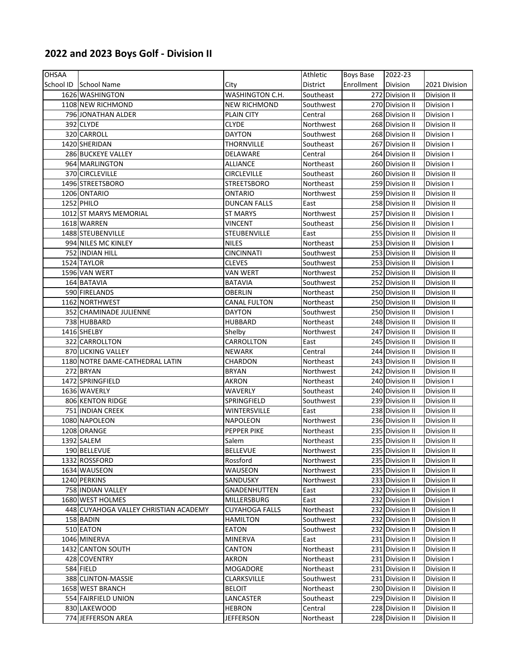## **2022 and 2023 Boys Golf ‐ Division II**

| <b>OHSAA</b> |                                       |                       | Athletic  | Boys Base  | 2022-23                            |                    |
|--------------|---------------------------------------|-----------------------|-----------|------------|------------------------------------|--------------------|
| School ID    | School Name                           | City                  | District  | Enrollment | <b>Division</b>                    | 2021 Division      |
|              | 1626 WASHINGTON                       | WASHINGTON C.H.       | Southeast |            | 272 Division II                    | Division II        |
|              | 1108 NEW RICHMOND                     | NEW RICHMOND          | Southwest |            | 270 Division II                    | Division I         |
|              | 796 JONATHAN ALDER                    | <b>PLAIN CITY</b>     | Central   |            | 268 Division II                    | Division I         |
|              | 392 CLYDE                             | CLYDE                 | Northwest |            | 268 Division II                    | Division II        |
|              | 320 CARROLL                           | <b>DAYTON</b>         | Southwest |            | 268 Division II                    | Division I         |
|              | 1420 SHERIDAN                         | <b>THORNVILLE</b>     | Southeast |            | 267 Division II                    | Division I         |
|              | <b>286 BUCKEYE VALLEY</b>             | DELAWARE              | Central   |            | 264 Division II                    | Division I         |
|              | 964 MARLINGTON                        | <b>ALLIANCE</b>       | Northeast |            | 260 Division II                    | Division I         |
|              | 370 CIRCLEVILLE                       | CIRCLEVILLE           | Southeast |            | 260 Division II                    | Division II        |
|              | 1496 STREETSBORO                      | <b>STREETSBORO</b>    | Northeast |            | 259 Division II                    | Division I         |
|              | 1206 ONTARIO                          | <b>ONTARIO</b>        | Northwest |            | 259 Division II                    | <b>Division II</b> |
|              | 1252 PHILO                            | <b>DUNCAN FALLS</b>   | East      |            | 258 Division II                    | Division II        |
|              | 1012 ST MARYS MEMORIAL                | <b>ST MARYS</b>       | Northwest |            | 257 Division II                    | Division I         |
|              | 1618 WARREN                           | VINCENT               | Southeast |            | 256 Division II                    | Division I         |
|              | 1488 STEUBENVILLE                     | STEUBENVILLE          | East      |            | 255 Division II                    | Division II        |
|              | 994 NILES MC KINLEY                   | <b>NILES</b>          | Northeast |            | 253 Division II                    | Division I         |
|              | 752 INDIAN HILL                       | CINCINNATI            | Southwest |            | 253 Division II                    | Division II        |
|              | 1524 TAYLOR                           | <b>CLEVES</b>         | Southwest |            | 253 Division II                    | Division I         |
|              | 1596 VAN WERT                         | <b>VAN WERT</b>       |           |            |                                    |                    |
|              | 164 BATAVIA                           |                       | Northwest |            | 252 Division II<br>252 Division II | Division II        |
|              |                                       | <b>BATAVIA</b>        | Southwest |            |                                    | Division II        |
|              | 590 FIRELANDS                         | OBERLIN               | Northeast |            | 250 Division II                    | <b>Division II</b> |
|              | 1162 NORTHWEST                        | CANAL FULTON          | Northeast |            | 250 Division II                    | Division II        |
|              | 352 CHAMINADE JULIENNE                | DAYTON                | Southwest |            | 250 Division II                    | Division I         |
|              | 738 HUBBARD                           | <b>HUBBARD</b>        | Northeast |            | 248 Division II                    | Division II        |
|              | 1416 SHELBY                           | Shelby                | Northwest |            | 247 Division II                    | <b>Division II</b> |
|              | 322 CARROLLTON                        | CARROLLTON            | East      |            | 245 Division II                    | Division II        |
|              | 870 LICKING VALLEY                    | <b>NEWARK</b>         | Central   |            | 244 Division II                    | <b>Division II</b> |
|              | 1180 NOTRE DAME-CATHEDRAL LATIN       | CHARDON               | Northeast |            | 243 Division II                    | Division II        |
|              | 272 BRYAN                             | <b>BRYAN</b>          | Northwest |            | 242 Division II                    | Division II        |
|              | 1472 SPRINGFIELD                      | AKRON                 | Northeast |            | 240 Division II                    | Division I         |
|              | 1636 WAVERLY                          | WAVERLY               | Southeast |            | 240 Division II                    | Division II        |
|              | 806 KENTON RIDGE                      | SPRINGFIELD           | Southwest |            | 239 Division II                    | Division II        |
|              | 751 INDIAN CREEK                      | WINTERSVILLE          | East      |            | 238 Division II                    | Division II        |
|              | 1080 NAPOLEON                         | NAPOLEON              | Northwest |            | 236 Division II                    | Division II        |
|              | 1208 ORANGE                           | PEPPER PIKE           | Northeast |            | 235 Division II                    | Division II        |
|              | 1392 SALEM                            | Salem                 | Northeast |            | 235 Division II                    | Division II        |
|              | 190 BELLEVUE                          | <b>BELLEVUE</b>       | Northwest |            | 235 Division II                    | Division II        |
|              | 1332 ROSSFORD                         | Rossford              | Northwest |            | 235 Division II                    | Division II        |
|              | 1634 WAUSEON                          | WAUSEON               | Northwest |            | 235 Division II                    | Division II        |
|              | 1240 PERKINS                          | SANDUSKY              | Northwest |            | 233 Division II                    | Division II        |
|              | 758 INDIAN VALLEY                     | GNADENHUTTEN          | East      |            | 232 Division II                    | Division II        |
|              | 1680 WEST HOLMES                      | MILLERSBURG           | East      |            | 232 Division II                    | Division I         |
|              | 448 CUYAHOGA VALLEY CHRISTIAN ACADEMY | <b>CUYAHOGA FALLS</b> | Northeast |            | 232 Division II                    | Division II        |
|              | 158 BADIN                             | <b>HAMILTON</b>       | Southwest |            | 232 Division II                    | Division II        |
|              | 510 EATON                             | <b>EATON</b>          | Southwest |            | 232 Division II                    | Division II        |
|              | 1046 MINERVA                          | <b>MINERVA</b>        | East      |            | 231 Division II                    | Division II        |
|              | 1432 CANTON SOUTH                     | CANTON                | Northeast |            | 231 Division II                    | Division II        |
|              | 428 COVENTRY                          | AKRON                 | Northeast |            | 231 Division II                    | Division I         |
|              | 584 FIELD                             | MOGADORE              | Northeast |            | 231 Division II                    | Division II        |
|              | 388 CLINTON-MASSIE                    | <b>CLARKSVILLE</b>    | Southwest |            | 231 Division II                    | Division II        |
|              | 1658 WEST BRANCH                      | BELOIT                | Northeast |            | 230 Division II                    | Division II        |
|              | 554 FAIRFIELD UNION                   | LANCASTER             | Southeast |            | 229 Division II                    | Division II        |
|              | 830 LAKEWOOD                          | <b>HEBRON</b>         | Central   |            | 228 Division II                    | Division II        |
|              |                                       |                       |           |            |                                    |                    |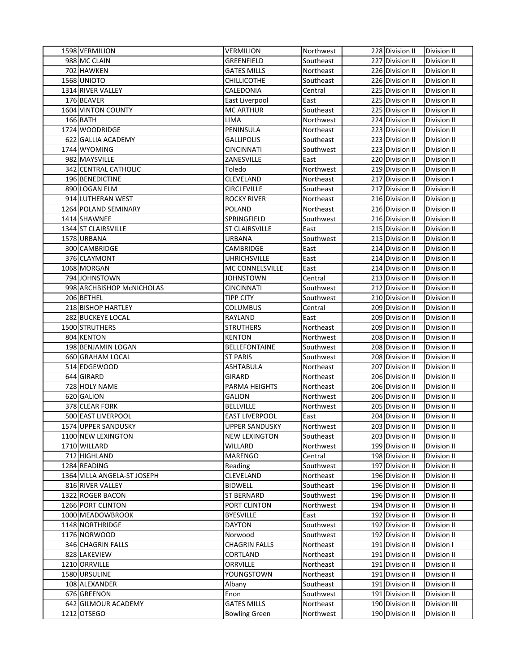| 1598 VERMILION              | <b>VERMILION</b>      | Northwest | 228 Division II<br><b>Division II</b>  |
|-----------------------------|-----------------------|-----------|----------------------------------------|
| 988 MC CLAIN                | GREENFIELD            | Southeast | 227 Division II<br>Division II         |
| 702 HAWKEN                  | <b>GATES MILLS</b>    | Northeast | 226 Division II<br>Division II         |
| 1568 UNIOTO                 | <b>CHILLICOTHE</b>    | Southeast | 226 Division II<br>Division II         |
| 1314 RIVER VALLEY           | CALEDONIA             | Central   | 225 Division II<br>Division II         |
| 176 BEAVER                  | East Liverpool        | East      | 225 Division II<br>Division II         |
| 1604 VINTON COUNTY          | <b>MC ARTHUR</b>      | Southeast | 225 Division II<br>Division II         |
| 166 BATH                    | <b>LIMA</b>           | Northwest | 224 Division II<br>Division II         |
| 1724 WOODRIDGE              | PENINSULA             | Northeast | 223 Division II<br>Division II         |
| 622 GALLIA ACADEMY          | <b>GALLIPOLIS</b>     | Southeast | 223 Division II<br>Division II         |
| 1744 WYOMING                | <b>CINCINNATI</b>     | Southwest | 223 Division II<br>Division II         |
| 982 MAYSVILLE               | ZANESVILLE            | East      | 220 Division II<br><b>Division II</b>  |
| 342 CENTRAL CATHOLIC        | Toledo                | Northwest | 219 Division II<br>Division II         |
| 196 BENEDICTINE             | CLEVELAND             | Northeast | 217 Division II<br>Division I          |
| 890 LOGAN ELM               | <b>CIRCLEVILLE</b>    | Southeast | 217 Division II<br>Division II         |
| 914 LUTHERAN WEST           | ROCKY RIVER           | Northeast | 216 Division II<br>Division II         |
| 1264 POLAND SEMINARY        | <b>POLAND</b>         | Northeast | 216 Division II<br>Division II         |
| 1414 SHAWNEE                | SPRINGFIELD           | Southwest | 216 Division II<br>Division II         |
| 1344 ST CLAIRSVILLE         | <b>ST CLAIRSVILLE</b> | East      | 215 Division II<br><b>Division II</b>  |
| 1578 URBANA                 | URBANA                | Southwest | 215 Division II<br><b>Division II</b>  |
| 300 CAMBRIDGE               | CAMBRIDGE             | East      | 214 Division II<br><b>Division II</b>  |
| 376 CLAYMONT                | <b>UHRICHSVILLE</b>   | East      | 214 Division II<br><b>Division II</b>  |
| 1068 MORGAN                 | MC CONNELSVILLE       | East      | 214 Division II<br>Division II         |
| 794 JOHNSTOWN               | JOHNSTOWN             | Central   | 213 Division II<br>Division II         |
| 998 ARCHBISHOP McNICHOLAS   | <b>CINCINNATI</b>     | Southwest | 212 Division II<br>Division II         |
| 206 BETHEL                  | <b>TIPP CITY</b>      | Southwest | 210 Division II<br>Division II         |
| 218 BISHOP HARTLEY          | <b>COLUMBUS</b>       | Central   | 209 Division II<br><b>Division II</b>  |
| 282 BUCKEYE LOCAL           | RAYLAND               | East      | 209 Division II<br>Division II         |
| 1500 STRUTHERS              | <b>STRUTHERS</b>      | Northeast | 209 Division II<br>Division II         |
| 804 KENTON                  | <b>KENTON</b>         | Northwest | 208 Division II<br>Division II         |
| 198 BENJAMIN LOGAN          | <b>BELLEFONTAINE</b>  | Southwest | 208 Division II<br>Division II         |
| 660 GRAHAM LOCAL            | ST PARIS              | Southwest | 208 Division II<br>Division II         |
| 514 EDGEWOOD                | <b>ASHTABULA</b>      | Northeast | 207 Division II<br>Division II         |
| 644 GIRARD                  | GIRARD                | Northeast | 206 Division II<br>Division II         |
| 728 HOLY NAME               | PARMA HEIGHTS         | Northeast | 206 Division II<br>Division II         |
| 620 GALION                  | <b>GALION</b>         | Northwest | 206 Division II<br><b>Division II</b>  |
| 378 CLEAR FORK              | <b>BELLVILLE</b>      | Northwest | 205 Division II<br>Division II         |
| 500 EAST LIVERPOOL          | <b>EAST LIVERPOOL</b> | East      | 204 Division II<br>Division II         |
| 1574 UPPER SANDUSKY         | UPPER SANDUSKY        | Northwest | 203 Division II Division II            |
| 1100 NEW LEXINGTON          | <b>NEW LEXINGTON</b>  | Southeast | 203 Division II<br>Division II         |
| 1710 WILLARD                | WILLARD               | Northwest | 199 Division II<br>Division II         |
| 712 HIGHLAND                | <b>MARENGO</b>        | Central   | 198 Division II<br>Division II         |
| 1284 READING                | Reading               | Southwest | 197 Division II<br>Division II         |
| 1364 VILLA ANGELA-ST JOSEPH | CLEVELAND             | Northeast | 196 Division II<br>Division II         |
| 816 RIVER VALLEY            | <b>BIDWELL</b>        | Southeast | 196 Division II<br>Division II         |
| 1322 ROGER BACON            | <b>ST BERNARD</b>     | Southwest | 196 Division II<br>Division II         |
| 1266 PORT CLINTON           | PORT CLINTON          | Northwest | 194 Division II<br>Division II         |
| 1000 MEADOWBROOK            | <b>BYESVILLE</b>      | East      | 192 Division II<br>Division II         |
| 1148 NORTHRIDGE             | DAYTON                | Southwest | 192 Division II<br>Division II         |
| 1176 NORWOOD                | Norwood               | Southwest | 192 Division II<br>Division II         |
| 346 CHAGRIN FALLS           | <b>CHAGRIN FALLS</b>  | Northeast | 191 Division II<br>Division I          |
| 828 LAKEVIEW                | CORTLAND              | Northeast | 191 Division II<br>Division II         |
| 1210 ORRVILLE               | ORRVILLE              | Northeast | 191 Division II<br>Division II         |
| 1580 URSULINE               | YOUNGSTOWN            | Northeast | 191 Division II<br>Division II         |
| 108 ALEXANDER               | Albany                | Southeast | 191 Division II<br>Division II         |
| 676 GREENON                 | Enon                  | Southwest | 191 Division II<br>Division II         |
| 642 GILMOUR ACADEMY         | <b>GATES MILLS</b>    | Northeast | 190 Division II<br><b>Division III</b> |
| 1212 OTSEGO                 | <b>Bowling Green</b>  | Northwest | 190 Division II<br>Division II         |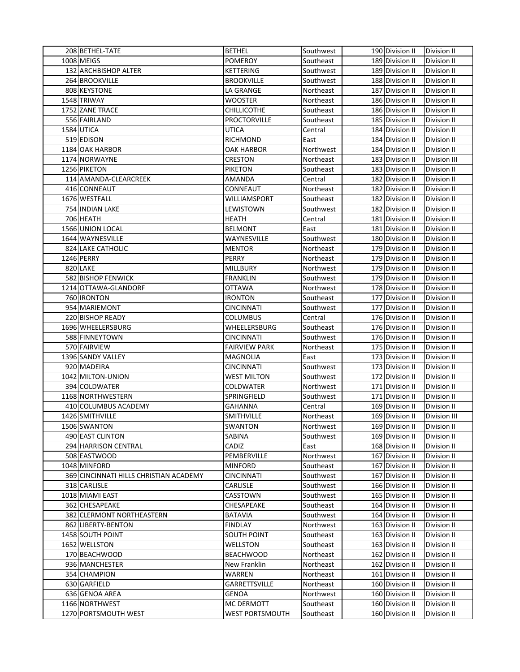| 208 BETHEL-TATE                        | <b>BETHEL</b>        | Southwest | 190 Division II | Division II        |
|----------------------------------------|----------------------|-----------|-----------------|--------------------|
| 1008 MEIGS                             | <b>POMEROY</b>       | Southeast | 189 Division II | Division II        |
| 132 ARCHBISHOP ALTER                   | KETTERING            | Southwest | 189 Division II | Division II        |
| 264 BROOKVILLE                         | <b>BROOKVILLE</b>    | Southwest | 188 Division II | Division II        |
| 808 KEYSTONE                           | LA GRANGE            | Northeast | 187 Division II | Division II        |
| 1548 TRIWAY                            | WOOSTER              | Northeast | 186 Division II | Division II        |
| 1752 ZANE TRACE                        | <b>CHILLICOTHE</b>   | Southeast | 186 Division II | Division II        |
| 556 FAIRLAND                           | <b>PROCTORVILLE</b>  | Southeast | 185 Division II | Division II        |
| 1584 UTICA                             | UTICA                | Central   | 184 Division II | Division II        |
| 519 EDISON                             | RICHMOND             | East      | 184 Division II | Division II        |
| 1184 OAK HARBOR                        | OAK HARBOR           | Northwest | 184 Division II | Division II        |
| 1174 NORWAYNE                          | <b>CRESTON</b>       |           | 183 Division II | Division III       |
| 1256 PIKETON                           |                      | Northeast | 183 Division II |                    |
|                                        | PIKETON              | Southeast |                 | Division II        |
| 114 AMANDA-CLEARCREEK                  | AMANDA               | Central   | 182 Division II | Division II        |
| 416 CONNEAUT                           | CONNEAUT             | Northeast | 182 Division II | Division II        |
| 1676 WESTFALL                          | WILLIAMSPORT         | Southeast | 182 Division II | Division II        |
| 754 INDIAN LAKE                        | LEWISTOWN            | Southwest | 182 Division II | Division II        |
| 706 HEATH                              | <b>HEATH</b>         | Central   | 181 Division II | Division II        |
| 1566 UNION LOCAL                       | <b>BELMONT</b>       | East      | 181 Division II | Division II        |
| 1644 WAYNESVILLE                       | WAYNESVILLE          | Southwest | 180 Division II | Division II        |
| <b>824 LAKE CATHOLIC</b>               | MENTOR               | Northeast | 179 Division II | <b>Division II</b> |
| 1246 PERRY                             | PERRY                | Northeast | 179 Division II | Division II        |
| 820 LAKE                               | <b>MILLBURY</b>      | Northwest | 179 Division II | Division II        |
| 582 BISHOP FENWICK                     | <b>FRANKLIN</b>      | Southwest | 179 Division II | Division II        |
| 1214 OTTAWA-GLANDORF                   | OTTAWA               | Northwest | 178 Division II | Division II        |
| 760 IRONTON                            | <b>IRONTON</b>       | Southeast | 177 Division II | Division II        |
| 954 MARIEMONT                          | CINCINNATI           | Southwest | 177 Division II | Division II        |
| 220 BISHOP READY                       | COLUMBUS             | Central   | 176 Division II | Division II        |
| 1696 WHEELERSBURG                      | WHEELERSBURG         | Southeast | 176 Division II | Division II        |
| 588 FINNEYTOWN                         | CINCINNATI           | Southwest | 176 Division II | Division II        |
| 570 FAIRVIEW                           | <b>FAIRVIEW PARK</b> | Northeast | 175 Division II | Division II        |
| 1396 SANDY VALLEY                      | MAGNOLIA             | East      | 173 Division II | Division II        |
| 920 MADEIRA                            | CINCINNATI           | Southwest | 173 Division II | Division II        |
| 1042 MILTON-UNION                      | <b>WEST MILTON</b>   | Southwest | 172 Division II | Division II        |
| 394 COLDWATER                          | COLDWATER            | Northwest | 171 Division II | Division II        |
| 1168 NORTHWESTERN                      | SPRINGFIELD          | Southwest | 171 Division II | Division II        |
| 410 COLUMBUS ACADEMY                   | GAHANNA              | Central   | 169 Division II | Division II        |
| 1426 SMITHVILLE                        | <b>SMITHVILLE</b>    | Northeast | 169 Division II | Division III       |
| 1506 SWANTON                           | SWANTON              | Northwest | 169 Division II | <b>Division II</b> |
| 490 EAST CLINTON                       | SABINA               | Southwest | 169 Division II | Division II        |
| 294 HARRISON CENTRAL                   | CADIZ                | East      | 168 Division II | Division II        |
| 508 EASTWOOD                           | PEMBERVILLE          | Northwest | 167 Division II | Division II        |
| 1048 MINFORD                           | <b>MINFORD</b>       | Southeast | 167 Division II | Division II        |
| 369 CINCINNATI HILLS CHRISTIAN ACADEMY | <b>CINCINNATI</b>    | Southwest | 167 Division II | Division II        |
| 318 CARLISLE                           | CARLISLE             | Southwest | 166 Division II | Division II        |
| 1018 MIAMI EAST                        | CASSTOWN             | Southwest | 165 Division II | Division II        |
| 362 CHESAPEAKE                         | CHESAPEAKE           | Southeast | 164 Division II | Division II        |
| 382 CLERMONT NORTHEASTERN              | BATAVIA              | Southwest | 164 Division II | Division II        |
| 862 LIBERTY-BENTON                     | FINDLAY              | Northwest | 163 Division II | Division II        |
| 1458 SOUTH POINT                       | <b>SOUTH POINT</b>   | Southeast | 163 Division II | Division II        |
| 1652 WELLSTON                          | WELLSTON             | Southeast | 163 Division II | Division II        |
| 170 BEACHWOOD                          | <b>BEACHWOOD</b>     | Northeast | 162 Division II | Division II        |
| 936 MANCHESTER                         | New Franklin         | Northeast | 162 Division II | Division II        |
| 354 CHAMPION                           | WARREN               | Northeast | 161 Division II | Division II        |
| 630 GARFIELD                           | GARRETTSVILLE        | Northeast | 160 Division II | Division II        |
| 636 GENOA AREA                         | GENOA                | Northwest | 160 Division II | Division II        |
| 1166 NORTHWEST                         | MC DERMOTT           | Southeast | 160 Division II | Division II        |
| 1270 PORTSMOUTH WEST                   | WEST PORTSMOUTH      | Southeast | 160 Division II | Division II        |